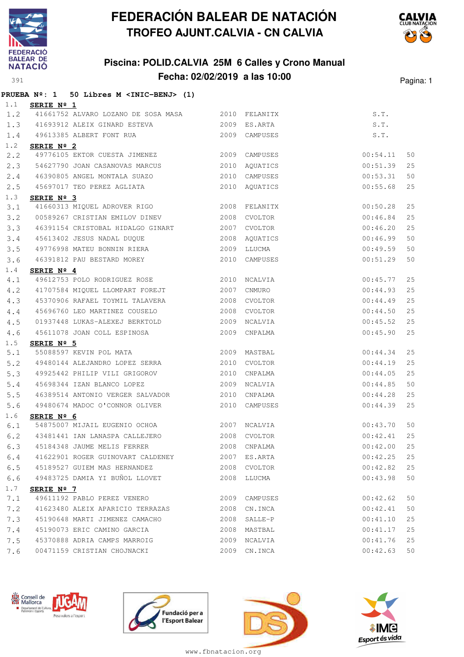

## **Piscina: POLID.CALVIA 25M 6 Calles y Crono Manual Fecha: 02/02/2019 a las 10:00** Pagina: 1



|      |                     | PRUEBA $N^{\circ}$ : 1 50 Libres M <inic-benj> (1)</inic-benj> |      |                |          |      |
|------|---------------------|----------------------------------------------------------------|------|----------------|----------|------|
| 1.1  | SERIE Nº 1          |                                                                |      |                |          |      |
| 1.2  |                     | 41661752 ALVARO LOZANO DE SOSA MASA 2010 FELANITX              |      |                | S.T.     |      |
| 1.3  |                     | 41693912 ALEIX GINARD ESTEVA                                   |      | 2009 ES.ARTA   | S.T.     |      |
| 1.4  |                     | 49613385 ALBERT FONT RUA 2009 CAMPUSES                         |      |                | S.T.     |      |
| 1.2  | SERIE $N^{\circ}$ 2 |                                                                |      |                |          |      |
| 2, 2 |                     | 49776105 EKTOR CUESTA JIMENEZ 2009 CAMPUSES                    |      |                | 00:54.11 | 50   |
| 2.3  |                     | 54627790 JOAN CASANOVAS MARCUS 2010                            |      | AQUATICS       | 00:51.39 | 25   |
| 2.4  |                     | 46390805 ANGEL MONTALA SUAZO                                   |      | 2010 CAMPUSES  | 00:53.31 | 50   |
| 2.5  |                     |                                                                |      |                | 00:55.68 | 25   |
| 1.3  | SERIE Nº 3          |                                                                |      |                |          |      |
| 3.1  |                     | 41660313 MIQUEL ADROVER RIGO 2008                              |      | FELANITX       | 00:50.28 | 25   |
| 3.2  |                     | 00589267 CRISTIAN EMILOV DINEV 2008                            |      | CVOLTOR        | 00:46.84 | 25   |
| 3.3  |                     | 46391154 CRISTOBAL HIDALGO GINART 2007 CVOLTOR                 |      |                | 00:46.20 | 25   |
| 3.4  |                     | 45613402 JESUS NADAL DUQUE 2008 AQUATICS                       |      |                | 00:46.99 | 50   |
| 3.5  |                     | 49776998 MATEU BONNIN RIERA 2009                               |      | LLUCMA         | 00:49.59 | 50   |
| 3.6  |                     | 46391812 PAU BESTARD MOREY 2010 CAMPUSES                       |      |                | 00:51.29 | 50   |
| 1.4  | SERIE $N^{\circ}$ 4 |                                                                |      |                |          |      |
| 4.1  |                     | 49612753 POLO RODRIGUEZ ROSE 2010 NCALVIA                      |      |                | 00:45.77 | 25   |
| 4.2  |                     | 41707584 MIQUEL LLOMPART FOREJT 2007                           |      | CNMURO         | 00:44.93 | 25   |
| 4.3  |                     | 45370906 RAFAEL TOYMIL TALAVERA                                | 2008 | <b>CVOLTOR</b> | 00:44.49 | 25   |
| 4.4  |                     | 45696760 LEO MARTINEZ COUSELO                                  | 2008 | CVOLTOR        | 00:44.50 | 25   |
| 4.5  |                     | 01937448 LUKAS-ALEXEJ BERKTOLD                                 |      | 2009 NCALVIA   | 00:45.52 | 25   |
| 4.6  |                     | 45611078 JOAN COLL ESPINOSA 2009                               |      | CNPALMA        | 00:45.90 | 25   |
| 1.5  | SERIE $N^{\circ}$ 5 |                                                                |      |                |          |      |
| 5.1  |                     | 55088597 KEVIN POL MATA 2009                                   |      | MASTBAL        | 00:44.34 | 25   |
| 5.2  |                     | 49480144 ALEJANDRO LOPEZ SERRA 2010 CVOLTOR                    |      |                | 00:44.19 | 25   |
| 5.3  |                     | 49925442 PHILIP VILI GRIGOROV                                  | 2010 | CNPALMA        | 00:44.05 | 25   |
| 5.4  |                     | 45698344 IZAN BLANCO LOPEZ<br>2009                             |      | NCALVIA        | 00:44.85 | 50   |
| 5.5  |                     | 46389514 ANTONIO VERGER SALVADOR 2010                          |      | CNPALMA        | 00:44.28 | 25   |
| 5.6  |                     | 49480674 MADOC O'CONNOR OLIVER                                 |      | 2010 CAMPUSES  | 00:44.39 | 25   |
| 1.6  | SERIE Nº 6          |                                                                |      |                |          |      |
| 6.1  |                     | 54875007 MIJAIL EUGENIO OCHOA 2007 NCALVIA                     |      |                | 00:43.70 | 50   |
| 6.2  |                     | 43481441 IAN LANASPA CALLEJERO                                 |      | 2008 CVOLTOR   | 00:42.41 | $25$ |
| 6.3  |                     | 45184348 JAUME MELIS FERRER                                    |      | 2008 CNPALMA   | 00:42.00 | 25   |
| 6.4  |                     | 41622901 ROGER GUINOVART CALDENEY                              |      | 2007 ES.ARTA   | 00:42.25 | 25   |
| 6.5  |                     | 45189527 GUIEM MAS HERNANDEZ                                   |      | 2008 CVOLTOR   | 00:42.82 | 25   |
| 6.6  |                     | 49483725 DAMIA YI BUÑOL LLOVET                                 | 2008 | LLUCMA         | 00:43.98 | 50   |
| 1.7  | SERIE Nº 7          |                                                                |      |                |          |      |
| 7.1  |                     | 49611192 PABLO PEREZ VENERO                                    | 2009 | CAMPUSES       | 00:42.62 | 50   |
| 7.2  |                     | 41623480 ALEIX APARICIO TERRAZAS                               | 2008 | CN.INCA        | 00:42.41 | 50   |
| 7.3  |                     | 45190648 MARTI JIMENEZ CAMACHO                                 | 2008 | SALLE-P        | 00:41.10 | 25   |
| 7.4  |                     | 45190073 ERIC CAMINO GARCIA                                    | 2008 | MASTBAL        | 00:41.17 | 25   |
| 7.5  |                     | 45370888 ADRIA CAMPS MARROIG                                   | 2009 | NCALVIA        | 00:41.76 | 25   |
| 7.6  |                     | 00471159 CRISTIAN CHOJNACKI                                    |      | 2009 CN.INCA   | 00:42.63 | 50   |







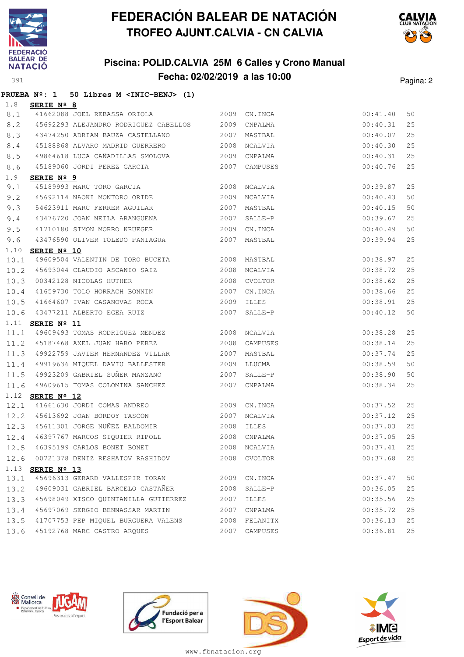

## **Piscina: POLID.CALVIA 25M 6 Calles y Crono Manual Fecha: 02/02/2019 a las 10:00** Pagina: 2



|      | PRUEBA Nº: 1 50 Libres M <inic-benj> (1)</inic-benj> |      |                |          |    |
|------|------------------------------------------------------|------|----------------|----------|----|
| 1.8  | SERIE Nº 8                                           |      |                |          |    |
| 8.1  | 41662088 JOEL REBASSA ORIOLA 2009 CN.INCA            |      |                | 00:41.40 | 50 |
| 8.2  | 45692293 ALEJANDRO RODRIGUEZ CABELLOS 2009           |      | CNPALMA        | 00:40.31 | 25 |
| 8.3  | 43474250 ADRIAN BAUZA CASTELLANO                     | 2007 | MASTBAL        | 00:40.07 | 25 |
| 8.4  | 45188868 ALVARO MADRID GUERRERO                      |      | 2008 NCALVIA   | 00:40.30 | 25 |
| 8.5  | 49864618 LUCA CAÑADILLAS SMOLOVA 2009                |      | CNPALMA        | 00:40.31 | 25 |
| 8.6  | 45189060 JORDI PEREZ GARCIA 2007                     |      | CAMPUSES       | 00:40.76 | 25 |
| 1.9  | SERIE Nº 9                                           |      |                |          |    |
| 9.1  | 45189993 MARC TORO GARCIA 2008                       |      | NCALVIA        | 00:39.87 | 25 |
| 9.2  | 45692114 NAOKI MONTORO ORIDE                         | 2009 | NCALVIA        | 00:40.43 | 50 |
| 9.3  | 54623911 MARC FERRER AGUILAR 2007                    |      | MASTBAL        | 00:40.15 | 50 |
| 9.4  | 43476720 JOAN NEILA ARANGUENA                        | 2007 | SALLE-P        | 00:39.67 | 25 |
| 9.5  | 41710180 SIMON MORRO KRUEGER 2009                    |      | CN.INCA        | 00:40.49 | 50 |
| 9.6  | 43476590 OLIVER TOLEDO PANIAGUA                      |      | 2007 MASTBAL   | 00:39.94 | 25 |
| 1.10 | SERIE Nº 10                                          |      |                |          |    |
| 10.1 | 49609504 VALENTIN DE TORO BUCETA 2008 MASTBAL        |      |                | 00:38.97 | 25 |
| 10.2 | 45693044 CLAUDIO ASCANIO SAIZ 2008                   |      | NCALVIA        | 00:38.72 | 25 |
| 10.3 | 00342128 NICOLAS HUTHER 2008                         |      | <b>CVOLTOR</b> | 00:38.62 | 25 |
| 10.4 | 41659730 TOLO HORRACH BONNIN                         | 2007 | CN.INCA        | 00:38.66 | 25 |
| 10.5 | 41664607 IVAN CASANOVAS ROCA 2009                    |      | <b>ILLES</b>   | 00:38.91 | 25 |
| 10.6 | 43477211 ALBERTO EGEA RUIZ                           | 2007 | SALLE-P        | 00:40.12 | 50 |
|      | 1.11 SERIE Nº 11                                     |      |                |          |    |
|      | 11.1 49609493 TOMAS RODRIGUEZ MENDEZ 2008 NCALVIA    |      |                | 00:38.28 | 25 |
|      | 11.2 45187468 AXEL JUAN HARO PEREZ                   | 2008 | CAMPUSES       | 00:38.14 | 25 |
| 11.3 | 49922759 JAVIER HERNANDEZ VILLAR 2007                |      | MASTBAL        | 00:37.74 | 25 |
| 11.4 | 49919636 MIQUEL DAVIU BALLESTER 2009                 |      | LLUCMA         | 00:38.59 | 50 |
| 11.5 | 49923209 GABRIEL SUÑER MANZANO                       | 2007 | SALLE-P        | 00:38.90 | 50 |
| 11.6 | 49609615 TOMAS COLOMINA SANCHEZ 2007                 |      | CNPALMA        | 00:38.34 | 25 |
|      | 1.12 SERIE Nº 12                                     |      |                |          |    |
| 12.1 | 41661630 JORDI COMAS ANDREO 2009                     |      | CN.INCA        | 00:37.52 | 25 |
|      | 12.2 45613692 JOAN BORDOY TASCON 2007                |      | <b>NCALVIA</b> | 00:37.12 | 25 |
| 12.3 | 45611301 JORGE NUÑEZ BALDOMIR                        | 2008 | ILLES          | 00:37.03 | 25 |
| 12.4 | 46397767 MARCOS SIQUIER RIPOLL                       | 2008 | CNPALMA        | 00:37.05 | 25 |
| 12.5 | 46395199 CARLOS BONET BONET                          | 2008 | NCALVIA        | 00:37.41 | 25 |
| 12.6 | 00721378 DENIZ RESHATOV RASHIDOV                     | 2008 | CVOLTOR        | 00:37.68 | 25 |
|      | 1.13 SERIE Nº 13                                     |      |                |          |    |
| 13.1 | 45696313 GERARD VALLESPIR TORAN                      | 2009 | CN.INCA        | 00:37.47 | 50 |
| 13.2 | 49609031 GABRIEL BARCELO CASTAÑER                    | 2008 | SALLE-P        | 00:36.05 | 25 |
| 13.3 | 45698049 XISCO QUINTANILLA GUTIERREZ                 | 2007 | ILLES          | 00:35.56 | 25 |
| 13.4 | 45697069 SERGIO BENNASSAR MARTIN                     | 2007 | CNPALMA        | 00:35.72 | 25 |
| 13.5 | 41707753 PEP MIQUEL BURGUERA VALENS                  | 2008 | FELANITX       | 00:36.13 | 25 |
| 13.6 | 45192768 MARC CASTRO ARQUES                          | 2007 | CAMPUSES       | 00:36.81 | 25 |







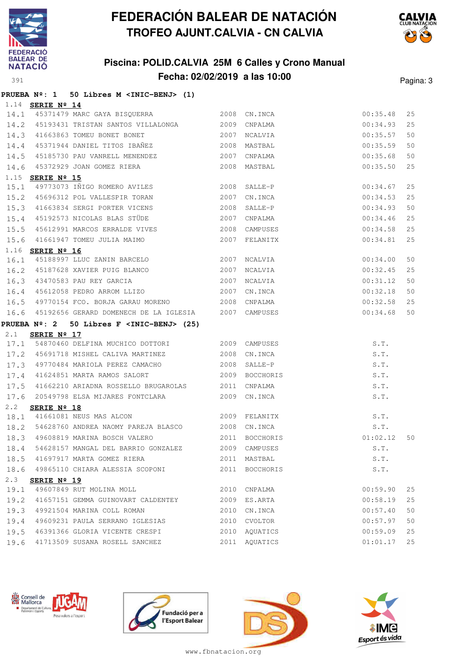

**PRUEBA Nº: 1 50 Libres M <INIC-BENJ> (1)**

# **FEDERACIÓN BALEAR DE NATACIÓN TROFEO AJUNT.CALVIA - CN CALVIA**

## **Piscina: POLID.CALVIA 25M 6 Calles y Crono Manual Fecha: 02/02/2019 a las 10:00** Pagina: 3



|             | 1.14 SERIE Nº 14                                                      |      |                           |                      |          |
|-------------|-----------------------------------------------------------------------|------|---------------------------|----------------------|----------|
| 14.1        | 45371479 MARC GAYA BISQUERRA 2008                                     |      | CN.INCA                   | 00:35.48             | 25       |
| 14.2        | 45193431 TRISTAN SANTOS VILLALONGA 2009                               |      | CNPALMA                   | 00:34.93             | 25       |
| 14.3        | 41663863 TOMEU BONET BONET                                            | 2007 | NCALVIA                   | 00:35.57             | 50       |
| 14.4        | 45371944 DANIEL TITOS IBAÑEZ                                          | 2008 | MASTBAL                   | 00:35.59             | 50       |
| 14.5        | 45185730 PAU VANRELL MENENDEZ 2007                                    |      | CNPALMA                   | 00:35.68             | 50       |
| 14.6        | 45372929 JOAN GOMEZ RIERA                                             | 2008 | MASTBAL                   | 00:35.50             | 25       |
|             | 1.15 SERIE Nº 15                                                      |      |                           |                      |          |
| 15.1        | 49773073 IÑIGO ROMERO AVILES 2008                                     |      | SALLE-P                   | 00:34.67             | 25       |
| 15.2        | 45696312 POL VALLESPIR TORAN                                          | 2007 | CN.INCA                   | 00:34.53             | 25       |
| 15.3        | 41663834 SERGI PORTER VICENS                                          | 2008 | SALLE-P                   | 00:34.93             | 50       |
| 15.4        | 45192573 NICOLAS BLAS STÜDE                                           | 2007 | CNPALMA                   | 00:34.46             | 25       |
| 15.5        | 45612991 MARCOS ERRALDE VIVES                                         | 2008 | CAMPUSES                  | 00:34.58             | 25       |
| 15.6        | 41661947 TOMEU JULIA MAIMO                                            | 2007 | FELANITX                  | 00:34.81             | 25       |
| 1.16        | SERIE Nº 16                                                           |      |                           |                      |          |
| 16.1        | 45188997 LLUC ZANIN BARCELO 2007                                      |      | NCALVIA                   | 00:34.00             | 50       |
| 16.2        | 45187628 XAVIER PUIG BLANCO 2007                                      |      | NCALVIA                   | 00:32.45             | 25       |
| 16.3        | 43470583 PAU REY GARCIA 2007                                          |      | NCALVIA                   | 00:31.12             | 50       |
| 16.4        | 45612058 PEDRO ARROM LLIZO 2007                                       |      | CN.INCA                   | 00:32.18             | 50       |
| 16.5        | 49770154 FCO. BORJA GARAU MORENO 2008                                 |      | CNPALMA                   | 00:32.58             | 25       |
| 16.6        | 45192656 GERARD DOMENECH DE LA IGLESIA 2007 CAMPUSES                  |      |                           | 00:34.68             | 50       |
|             |                                                                       |      |                           |                      |          |
|             | PRUEBA Nº: 2 50 Libres F <inic-benj> (25)</inic-benj>                 |      |                           |                      |          |
| $2 \cdot 1$ | SERIE Nº 17                                                           |      |                           |                      |          |
|             | 17.1 54870460 DELFINA MUCHICO DOTTORI 2009                            |      | CAMPUSES                  | S.T.                 |          |
| 17.2        | 45691718 MISHEL CALIVA MARTINEZ 2008                                  |      | CN.INCA                   | S.T.                 |          |
| 17.3        | 49770484 MARIOLA PEREZ CAMACHO                                        | 2008 | SALLE-P                   | S.T.                 |          |
| 17.4        | 41624851 MARTA RAMOS SALORT                                           | 2009 | BOCCHORIS                 | S.T.                 |          |
| 17.5        | 41662210 ARIADNA ROSSELLO BRUGAROLAS 2011                             |      | CNPALMA                   | S.T.                 |          |
| 17.6        | 20549798 ELSA MIJARES FONTCLARA 2009                                  |      | CN.INCA                   | S.T.                 |          |
| 2.2         | SERIE Nº 18                                                           |      |                           |                      |          |
| 18.1        | 41661081 NEUS MAS ALCON 2009 FELANITX                                 |      |                           | S.T.                 |          |
| 18.2        | 54628760 ANDREA NAOMY PAREJA BLASCO 2008 CN.INCA                      |      |                           | S.T.                 |          |
| 18.3        | 49608819 MARINA BOSCH VALERO 2011                                     |      | BOCCHORIS                 | 01:02.12             | 50       |
| 18.4        | 54628157 MANGAL DEL BARRIO GONZALEZ 2009 CAMPUSES                     |      |                           | S.T.                 |          |
| 18.5        | 41697917 MARTA GOMEZ RIERA                                            |      | 2011 MASTBAL              | S.T.                 |          |
|             | 18.6 49865110 CHIARA ALESSIA SCOPONI 2011 BOCCHORIS                   |      |                           | S.T.                 |          |
| 2.3         | SERIE Nº 19                                                           |      |                           |                      |          |
| 19.1        | 49607849 RUT MOLINA MOLL 2010 CNPALMA                                 |      |                           | 00:59.90             | 25       |
| 19.2        | 41657151 GEMMA GUINOVART CALDENTEY 2009                               |      | ES.ARTA                   | 00:58.19             | 25       |
| 19.3        | 49921504 MARINA COLL ROMAN                                            | 2010 | CN.INCA                   | 00:57.40             | 50       |
| 19.4        | 49609231 PAULA SERRANO IGLESIAS                                       | 2010 | CVOLTOR                   | 00:57.97             | 50       |
| 19.5        | 46391366 GLORIA VICENTE CRESPI<br>19.6 41713509 SUSANA ROSELL SANCHEZ | 2010 | AQUATICS<br>2011 AQUATICS | 00:59.09<br>01:01.17 | 25<br>25 |







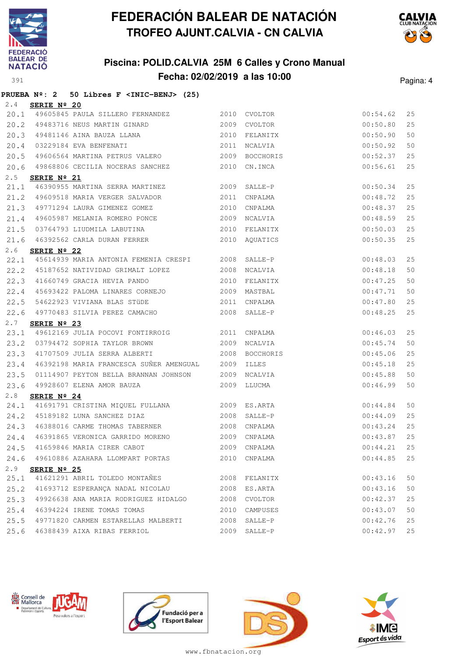

**AN** Consell de Departament de Cultura<br>Patrimoni i Esports

Posa valors a l'esp

# **FEDERACIÓN BALEAR DE NATACIÓN TROFEO AJUNT.CALVIA - CN CALVIA**

## **Piscina: POLID.CALVIA 25M 6 Calles y Crono Manual Fecha: 02/02/2019 a las 10:00** Pagina: 4



|      | PRUEBA Nº: 2 50 Libres F <inic-benj> (25)</inic-benj> |      |                |          |    |
|------|-------------------------------------------------------|------|----------------|----------|----|
| 2.4  | SERIE Nº 20                                           |      |                |          |    |
|      | 20.1 49605845 PAULA SILLERO FERNANDEZ 2010 CVOLTOR    |      |                | 00:54.62 | 25 |
|      | 20.2 49483716 NEUS MARTIN GINARD 2009 CVOLTOR         |      |                | 00:50.80 | 25 |
|      | 20.3 49481146 AINA BAUZA LLANA                        |      | 2010 FELANITX  | 00:50.90 | 50 |
|      | 20.4 03229184 EVA BENFENATI                           | 2011 | NCALVIA        | 00:50.92 | 50 |
| 20.5 | 49606564 MARTINA PETRUS VALERO                        |      | 2009 BOCCHORIS | 00:52.37 | 25 |
| 20.6 | 49868806 CECILIA NOCERAS SANCHEZ                      | 2010 | CN.INCA        | 00:56.61 | 25 |
| 2.5  | SERIE $N^{\circ}$ 21                                  |      |                |          |    |
| 21.1 | 46390955 MARTINA SERRA MARTINEZ 2009 SALLE-P          |      |                | 00:50.34 | 25 |
|      | 21.2 49609518 MARIA VERGER SALVADOR                   | 2011 | CNPALMA        | 00:48.72 | 25 |
| 21.3 | 49771294 LAURA GIMENEZ GOMEZ                          | 2010 | CNPALMA        | 00:48.37 | 25 |
| 21.4 | 49605987 MELANIA ROMERO PONCE                         |      | 2009 NCALVIA   | 00:48.59 | 25 |
| 21.5 | 03764793 LIUDMILA LABUTINA                            |      | 2010 FELANITX  | 00:50.03 | 25 |
|      | 21.6 46392562 CARLA DURAN FERRER                      |      | 2010 AQUATICS  | 00:50.35 | 25 |
| 2.6  | SERIE Nº 22                                           |      |                |          |    |
| 22.1 | 45614939 MARIA ANTONIA FEMENIA CRESPI 2008 SALLE-P    |      |                | 00:48.03 | 25 |
|      | 22.2 45187652 NATIVIDAD GRIMALT LOPEZ 2008            |      | NCALVIA        | 00:48.18 | 50 |
| 22.3 | 41660749 GRACIA HEVIA PANDO                           | 2010 | FELANITX       | 00:47.25 | 50 |
| 22.4 | 45693422 PALOMA LINARES CORNEJO                       | 2009 | MASTBAL        | 00:47.71 | 50 |
| 22.5 | 54622923 VIVIANA BLAS STÜDE 2011                      |      | CNPALMA        | 00:47.80 | 25 |
| 22.6 | 49770483 SILVIA PEREZ CAMACHO                         |      | 2008 SALLE-P   | 00:48.25 | 25 |
| 2.7  | SERIE Nº 23                                           |      |                |          |    |
|      | 23.1 49612169 JULIA POCOVI FONTIRROIG 2011 CNPALMA    |      |                | 00:46.03 | 25 |
|      | 23.2 03794472 SOPHIA TAYLOR BROWN                     |      | 2009 NCALVIA   | 00:45.74 | 50 |
| 23.3 | 41707509 JULIA SERRA ALBERTI                          | 2008 | BOCCHORIS      | 00:45.06 | 25 |
| 23.4 | 46392198 MARIA FRANCESCA SUÑER AMENGUAL 2009          |      | ILLES          | 00:45.18 | 25 |
| 23.5 | 01114907 PEYTON BELLA BRANNAN JOHNSON 2009            |      | NCALVIA        | 00:45.88 | 50 |
| 23.6 | 49928607 ELENA AMOR BAUZA                             |      | 2009 LLUCMA    | 00:46.99 | 50 |
| 2.8  | SERIE Nº 24                                           |      |                |          |    |
| 24.1 | 41691791 CRISTINA MIQUEL FULLANA 2009 ES.ARTA         |      |                | 00:44.84 | 50 |
|      | 24.2 45189182 LUNA SANCHEZ DIAZ                       | 2008 | SALLE-P        | 00:44.09 | 25 |
|      | 24.3 46388016 CARME THOMAS TABERNER 2008              |      | CNPALMA        | 00:43.24 | 25 |
| 24.4 | 46391865 VERONICA GARRIDO MORENO                      |      | 2009 CNPALMA   | 00:43.87 | 25 |
| 24.5 | 41659846 MARIA CIRER CABOT                            | 2009 | CNPALMA        | 00:44.21 | 25 |
| 24.6 | 49610886 AZAHARA LLOMPART PORTAS                      | 2010 | CNPALMA        | 00:44.85 | 25 |
| 2.9  | SERIE Nº 25                                           |      |                |          |    |
| 25.1 | 41621291 ABRIL TOLEDO MONTAÑES                        | 2008 | FELANITX       | 00:43.16 | 50 |
| 25.2 | 41693712 ESPERANÇA NADAL NICOLAU                      | 2008 | ES.ARTA        | 00:43.16 | 50 |
| 25.3 | 49926638 ANA MARIA RODRIGUEZ HIDALGO                  |      | 2008 CVOLTOR   | 00:42.37 | 25 |







www.fbnatacion.org

25.4 46394224 IRENE TOMAS TOMAS 2010 CAMPUSES 00:43.07 50 25.5 49771820 CARMEN ESTARELLAS MALBERTI 2008 SALLE-P 00:42.76 25 25.6 46388439 AIXA RIBAS FERRIOL 2009 SALLE-P 00:42.97 25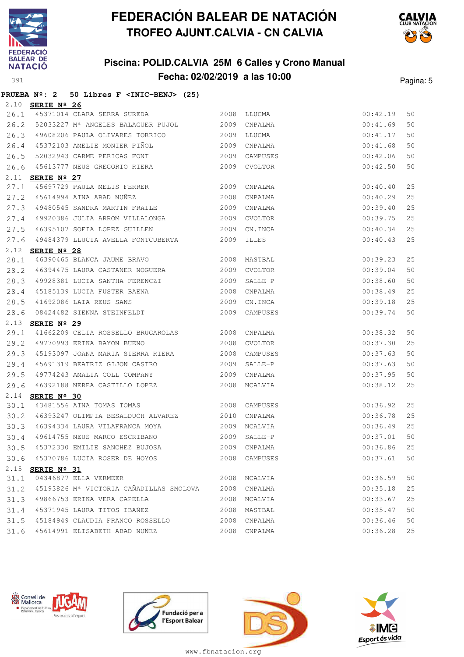

**PRUEBA Nº: 2 50 Libres F <INIC-BENJ> (25)**

# **FEDERACIÓN BALEAR DE NATACIÓN TROFEO AJUNT.CALVIA - CN CALVIA**

## **Piscina: POLID.CALVIA 25M 6 Calles y Crono Manual Fecha: 02/02/2019 a las 10:00** Pagina: 5



|              | 2.10 SERIE Nº 26 |                                                                      |      |              |                      |    |
|--------------|------------------|----------------------------------------------------------------------|------|--------------|----------------------|----|
| 26.1         |                  | 45371014 CLARA SERRA SUREDA 2008 LLUCMA                              |      |              | 00:42.19             | 50 |
| 26.2         |                  | 52033227 Mª ANGELES BALAGUER PUJOL 2009 CNPALMA                      |      |              | 00:41.69             | 50 |
| 26.3         |                  | 49608206 PAULA OLIVARES TORRICO 6 2009 LLUCMA                        |      |              | 00:41.17             | 50 |
| 26.4         |                  | 45372103 AMELIE MONIER PIÑOL                                         |      | 2009 CNPALMA | 00:41.68             | 50 |
| 26.5         |                  | 52032943 CARME PERICAS FONT 2009                                     |      | CAMPUSES     | 00:42.06             | 50 |
| 26.6         |                  | 45613777 NEUS GREGORIO RIERA 2009                                    |      | CVOLTOR      | 00:42.50             | 50 |
|              | 2.11 SERIE Nº 27 |                                                                      |      |              |                      |    |
| 27.1         |                  | 45697729 PAULA MELIS FERRER 2009 CNPALMA                             |      |              | 00:40.40             | 25 |
| 27.2         |                  | 45614994 AINA ABAD NUÑEZ 2008                                        |      | CNPALMA      | 00:40.29             | 25 |
| 27.3         |                  | 49480545 SANDRA MARTIN FRAILE 2009                                   |      | CNPALMA      | 00:39.40             | 25 |
| 27.4         |                  | 49920386 JULIA ARROM VILLALONGA 2009                                 |      | CVOLTOR      | 00:39.75             | 25 |
| 27.5         |                  | 46395107 SOFIA LOPEZ GUILLEN                                         |      | 2009 CN.INCA | 00:40.34             | 25 |
| 27.6         |                  | 49484379 LLUCIA AVELLA FONTCUBERTA 2009                              |      | ILLES        | 00:40.43             | 25 |
| 2.12         | SERIE Nº 28      |                                                                      |      |              |                      |    |
| 28.1         |                  | 46390465 BLANCA JAUME BRAVO 2008                                     |      | MASTBAL      | 00:39.23             | 25 |
| 28.2         |                  | 46394475 LAURA CASTAÑER NOGUERA 2009                                 |      | CVOLTOR      | 00:39.04             | 50 |
| 28.3         |                  | 49928381 LUCIA SANTHA FERENCZI                                       | 2009 | SALLE-P      | 00:38.60             | 50 |
| 28.4         |                  | 45185139 LUCIA FUSTER BAENA (2008)<br>41692086 LAIA REUS SANS (2009) |      | CNPALMA      | 00:38.49             | 25 |
| 28.5         |                  |                                                                      |      | CN.INCA      | 00:39.18             | 25 |
| 28.6         |                  | 08424482 SIENNA STEINFELDT 2009 CAMPUSES                             |      |              | 00:39.74             | 50 |
|              |                  |                                                                      |      |              |                      |    |
|              | 2.13 SERIE Nº 29 |                                                                      |      |              |                      |    |
| 29.1         |                  | 41662209 CELIA ROSSELLO BRUGAROLAS 2008 CNPALMA                      |      |              | 00:38.32             | 50 |
| 29.2         |                  | 49770993 ERIKA BAYON BUENO 2008                                      |      | CVOLTOR      | 00:37.30             | 25 |
| 29.3         |                  | 45193097 JOANA MARIA SIERRA RIERA 2008                               |      | CAMPUSES     | 00:37.63             | 50 |
| 29.4         |                  | 45691319 BEATRIZ GIJON CASTRO 2009                                   |      | SALLE-P      | 00:37.63             | 50 |
| 29.5         |                  | 49774243 AMALIA COLL COMPANY                                         | 2009 | CNPALMA      | 00:37.95             | 50 |
| 29.6         |                  | 46392188 NEREA CASTILLO LOPEZ 2008 NCALVIA                           |      |              | 00:38.12             | 25 |
| 2.14         | SERIE Nº 30      |                                                                      |      |              |                      |    |
| 30.1         |                  | 43481556 AINA TOMAS TOMAS 2008                                       |      | CAMPUSES     | 00:36.92             | 25 |
| 30.2         |                  | 46393247 OLIMPIA BESALDUCH ALVAREZ 2010                              |      | CNPALMA      | 00:36.78             | 25 |
| 30.3         |                  | 46394334 LAURA VILAFRANCA MOYA                                       |      | 2009 NCALVIA | 00:36.49             | 25 |
| 30.4         |                  | 49614755 NEUS MARCO ESCRIBANO 2009                                   |      | SALLE-P      | 00:37.01             | 50 |
| 30.5         |                  | 45372330 EMILIE SANCHEZ BUJOSA 2009 CNPALMA                          |      |              | 00:36.86             | 25 |
|              |                  | 30.6 45370786 LUCIA ROSER DE HOYOS 2008 CAMPUSES                     |      |              | 00:37.61             | 50 |
|              | 2.15 SERIE Nº 31 |                                                                      |      |              |                      |    |
| 31.1         |                  | 04346877 ELLA VERMEER                                                |      | 2008 NCALVIA | 00:36.59             | 50 |
| 31.2         |                  | 45193826 Mª VICTORIA CAÑADILLAS SMOLOVA 2008 CNPALMA                 |      |              | 00:35.18             | 25 |
| 31.3         |                  | 49866753 ERIKA VERA CAPELLA                                          |      | 2008 NCALVIA | 00:33.67             | 25 |
| 31.4         |                  | 45371945 LAURA TITOS IBAÑEZ                                          | 2008 | MASTBAL      | 00:35.47             | 50 |
| 31.5<br>31.6 |                  | 45184949 CLAUDIA FRANCO ROSSELLO<br>45614991 ELISABETH ABAD NUÑEZ    |      | 2008 CNPALMA | 00:36.46<br>00:36.28 | 50 |







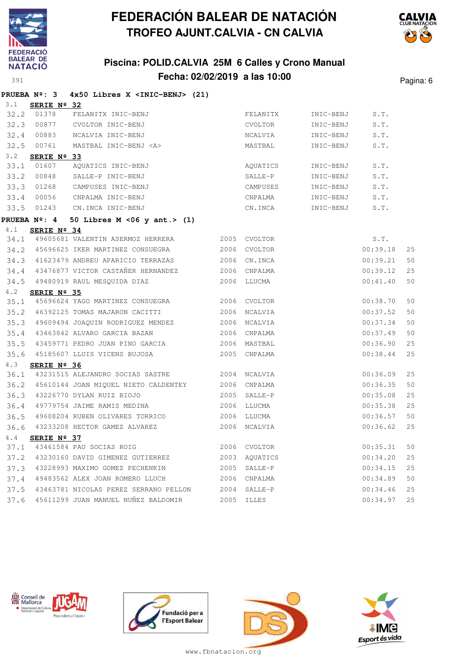

## **Piscina: POLID.CALVIA 25M 6 Calles y Crono Manual Fecha: 02/02/2019 a las 10:00** Pagina: 6



|      | <b>PRUEBA Nº: 3</b> | 4x50 Libres X <inic-benj> (21)</inic-benj> |      |              |           |          |    |
|------|---------------------|--------------------------------------------|------|--------------|-----------|----------|----|
| 3.1  | SERIE Nº 32         |                                            |      |              |           |          |    |
| 32.2 | 01378               | FELANITX INIC-BENJ                         |      | FELANITX     | INIC-BENJ | S.T.     |    |
| 32.3 | 00877               | CVOLTOR INIC-BENJ                          |      | CVOLTOR      | INIC-BENJ | S.T.     |    |
| 32.4 | 00883               | NCALVIA INIC-BENJ                          |      | NCALVIA      | INIC-BENJ | S.T.     |    |
| 32.5 | 00761               | MASTBAL INIC-BENJ <a></a>                  |      | MASTBAL      | INIC-BENJ | S.T.     |    |
| 3.2  | SERIE Nº 33         |                                            |      |              |           |          |    |
| 33.1 | 01607               | AQUATICS INIC-BENJ                         |      | AQUATICS     | INIC-BENJ | S.T.     |    |
| 33.2 | 00848               | SALLE-P INIC-BENJ                          |      | SALLE-P      | INIC-BENJ | S.T.     |    |
| 33.3 | 01268               | CAMPUSES INIC-BENJ                         |      | CAMPUSES     | INIC-BENJ | S.T.     |    |
| 33.4 | 00056               | CNPALMA INIC-BENJ                          |      | CNPALMA      | INIC-BENJ | S.T.     |    |
| 33.5 | 01243               | CN.INCA INIC-BENJ                          |      | CN.INCA      | INIC-BENJ | S.T.     |    |
|      | <b>PRUEBA Nº: 4</b> | 50 Libres $M < 06$ y ant.> (1)             |      |              |           |          |    |
| 4.1  | SERIE Nº 34         |                                            |      |              |           |          |    |
|      |                     | 34.1 49605681 VALENTIN ASERMOZ HERRERA     |      | 2005 CVOLTOR |           | S.T.     |    |
|      |                     | 34.2 45696625 IKER MARTINEZ CONSUEGRA      | 2006 | CVOLTOR      |           | 00:39.18 | 25 |
| 34.3 |                     | 41623479 ANDREU APARICIO TERRAZAS          | 2006 | CN.INCA      |           | 00:39.21 | 50 |
| 34.4 |                     | 43476877 VICTOR CASTAÑER HERNANDEZ         | 2006 | CNPALMA      |           | 00:39.12 | 25 |
| 34.5 |                     | 49480919 RAUL MESQUIDA DIAZ                |      | 2006 LLUCMA  |           | 00:41.40 | 50 |
| 4.2  | SERIE Nº 35         |                                            |      |              |           |          |    |
| 35.1 |                     | 45696624 YAGO MARTINEZ CONSUEGRA           |      | 2006 CVOLTOR |           | 00:38.70 | 50 |
| 35.2 |                     | 46392125 TOMAS MAJARON CACITTI             | 2006 | NCALVIA      |           | 00:37.52 | 50 |
| 35.3 |                     | 49609494 JOAQUIN RODRIGUEZ MENDEZ          | 2006 | NCALVIA      |           | 00:37.34 | 50 |
| 35.4 |                     | 43463842 ALVARO GARCIA BAZAN               |      | 2006 CNPALMA |           | 00:37.49 | 50 |
| 35.5 |                     | 43459771 PEDRO JUAN PINO GARCIA            | 2006 | MASTBAL      |           | 00:36.90 | 25 |
| 35.6 |                     | 45185607 LLUIS VICENS BUJOSA               | 2005 | CNPALMA      |           | 00:38.44 | 25 |
| 4.3  | SERIE Nº 36         |                                            |      |              |           |          |    |
| 36.1 |                     | 43231515 ALEJANDRO SOCIAS SASTRE           |      | 2004 NCALVIA |           | 00:36.09 | 25 |
| 36.2 |                     | 45610144 JOAN MIQUEL NIETO CALDENTEY       | 2006 | CNPALMA      |           | 00:36.35 | 50 |
| 36.3 |                     | 43226770 DYLAN RUIZ BIOJO                  | 2005 | SALLE-P      |           | 00:35.08 | 25 |
| 36.4 |                     | 49779754 JAIME RAMIS MEDINA                | 2006 | LLUCMA       |           | 00:35.38 | 25 |
| 36.5 |                     | 49608204 RUBEN OLIVARES TORRICO            | 2006 | LLUCMA       |           | 00:36.57 | 50 |
| 36.6 |                     | 43233208 HECTOR GAMEZ ALVAREZ              | 2006 | NCALVIA      |           | 00:36.62 | 25 |
| 4.4  | SERIE Nº 37         |                                            |      |              |           |          |    |
| 37.1 |                     | 43461584 PAU SOCIAS ROIG                   | 2006 | CVOLTOR      |           | 00:35.31 | 50 |
| 37.2 |                     | 43230160 DAVID GIMENEZ GUTIERREZ           | 2003 | AQUATICS     |           | 00:34.20 | 25 |
| 37.3 |                     | 43228993 MAXIMO GOMEZ PECHENKIN            | 2005 | SALLE-P      |           | 00:34.15 | 25 |
| 37.4 |                     | 49483562 ALEX JOAN ROMERO LLUCH            | 2006 | CNPALMA      |           | 00:34.89 | 50 |
| 37.5 |                     | 43463781 NICOLAS PEREZ SERRANO PELLON      | 2004 | SALLE-P      |           | 00:34.46 | 25 |
| 37.6 |                     | 45611299 JUAN MANUEL NUÑEZ BALDOMIR        | 2005 | ILLES        |           | 00:34.97 | 25 |







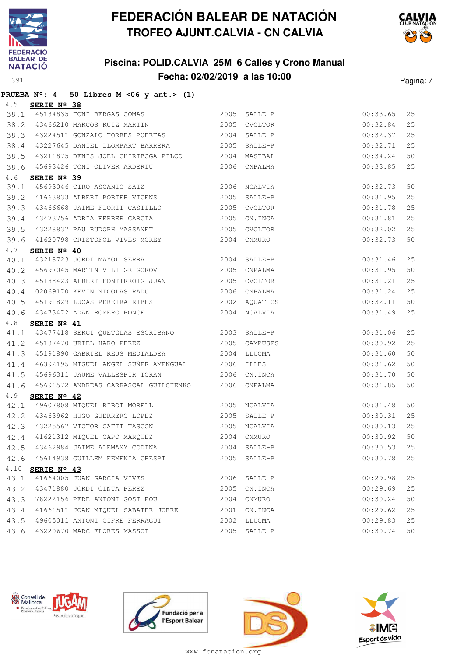

### **Piscina: POLID.CALVIA 25M 6 Calles y Crono Manual Fecha: 02/02/2019 a las 10:00** Pagina: 7



|      | PRUEBA $N^2$ : 4 50 Libres M < 06 y ant. > (1)      |      |              |          |    |
|------|-----------------------------------------------------|------|--------------|----------|----|
| 4.5  | SERIE Nº 38                                         |      |              |          |    |
|      | 38.1 45184835 TONI BERGAS COMAS 2005 SALLE-P        |      |              | 00:33.65 | 25 |
|      | 38.2 43466210 MARCOS RUIZ MARTIN 2005               |      | CVOLTOR      | 00:32.84 | 25 |
|      | 38.3 43224511 GONZALO TORRES PUERTAS 2004           |      | SALLE-P      | 00:32.37 | 25 |
| 38.4 | 43227645 DANIEL LLOMPART BARRERA 2005 SALLE-P       |      |              | 00:32.71 | 25 |
| 38.5 | 43211875 DENIS JOEL CHIRIBOGA PILCO 2004            |      | MASTBAL      | 00:34.24 | 50 |
| 38.6 | 45693426 TONI OLIVER ARDERIU 2006                   |      | CNPALMA      | 00:33.85 | 25 |
| 4.6  | SERIE Nº 39                                         |      |              |          |    |
| 39.1 | 45693046 CIRO ASCANIO SAIZ 2006                     |      | NCALVIA      | 00:32.73 | 50 |
|      | 39.2 41663833 ALBERT PORTER VICENS                  | 2005 | SALLE-P      | 00:31.95 | 25 |
| 39.3 | 43466668 JAIME FLORIT CASTILLO 2005                 |      | CVOLTOR      | 00:31.78 | 25 |
| 39.4 | 43473756 ADRIA FERRER GARCIA 2005                   |      | CN.INCA      | 00:31.81 | 25 |
|      | 39.5 43228837 PAU RUDOPH MASSANET 2005              |      | CVOLTOR      | 00:32.02 | 25 |
| 39.6 | 41620798 CRISTOFOL VIVES MOREY                      | 2004 | CNMURO       | 00:32.73 | 50 |
| 4.7  | SERIE Nº 40                                         |      |              |          |    |
| 40.1 | 43218723 JORDI MAYOL SERRA 2004 SALLE-P             |      |              | 00:31.46 | 25 |
|      | 40.2 45697045 MARTIN VILI GRIGOROV 2005             |      | CNPALMA      | 00:31.95 | 50 |
| 40.3 | 45188423 ALBERT FONTIRROIG JUAN 2005                |      | CVOLTOR      | 00:31.21 | 25 |
| 40.4 | 02069170 KEVIN NICOLAS RADU                         | 2006 | CNPALMA      | 00:31.24 | 25 |
| 40.5 | 45191829 LUCAS PEREIRA RIBES 2002                   |      | AQUATICS     | 00:32.11 | 50 |
| 40.6 | 43473472 ADAN ROMERO PONCE 2004                     |      | NCALVIA      | 00:31.49 | 25 |
| 4.8  | SERIE Nº 41                                         |      |              |          |    |
|      | 41.1 43477418 SERGI QUETGLAS ESCRIBANO 2003 SALLE-P |      |              | 00:31.06 | 25 |
|      | 41.2 45187470 URIEL HARO PEREZ                      | 2005 | CAMPUSES     | 00:30.92 | 25 |
| 41.3 | 45191890 GABRIEL REUS MEDIALDEA 2004                |      | LLUCMA       | 00:31.60 | 50 |
| 41.4 | 46392195 MIGUEL ANGEL SUÑER AMENGUAL 2006           |      | ILLES        | 00:31.62 | 50 |
| 41.5 | 45696311 JAUME VALLESPIR TORAN                      | 2006 | CN.INCA      | 00:31.70 | 50 |
| 41.6 | 45691572 ANDREAS CARRASCAL GUILCHENKO 2006          |      | CNPALMA      | 00:31.85 | 50 |
| 4.9  | SERIE $N^{\circ}$ 42                                |      |              |          |    |
|      | 42.1 49607808 MIQUEL RIBOT MORELL 2005              |      | NCALVIA      | 00:31.48 | 50 |
|      | 42.2 43463962 HUGO GUERRERO LOPEZ 2005              |      | SALLE-P      | 00:30.31 | 25 |
|      | 42.3 43225567 VICTOR GATTI TASCON                   |      | 2005 NCALVIA | 00:30.13 | 25 |
| 42.4 | 41621312 MIQUEL CAPO MARQUEZ                        | 2004 | CNMURO       | 00:30.92 | 50 |
| 42.5 | 43462984 JAIME ALEMANY CODINA                       | 2004 | SALLE-P      | 00:30.53 | 25 |
| 42.6 | 45614938 GUILLEM FEMENIA CRESPI                     | 2005 | SALLE-P      | 00:30.78 | 25 |
|      | 4.10 SERIE Nº 43                                    |      |              |          |    |
| 43.1 | 41664005 JUAN GARCIA VIVES                          | 2006 | SALLE-P      | 00:29.98 | 25 |
| 43.2 | 43471880 JORDI CINTA PEREZ                          | 2005 | CN.INCA      | 00:29.69 | 25 |
| 43.3 | 78222156 PERE ANTONI GOST POU                       | 2004 | CNMURO       | 00:30.24 | 50 |
| 43.4 | 41661511 JOAN MIQUEL SABATER JOFRE                  | 2001 | CN.INCA      | 00:29.62 | 25 |
| 43.5 | 49605011 ANTONI CIFRE FERRAGUT                      | 2002 | LLUCMA       | 00:29.83 | 25 |
| 43.6 | 43220670 MARC FLORES MASSOT                         |      | 2005 SALLE-P | 00:30.74 | 50 |







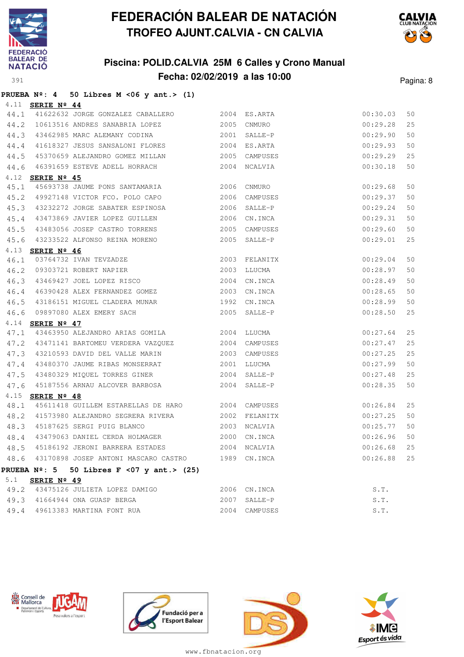

## **Piscina: POLID.CALVIA 25M 6 Calles y Crono Manual Fecha: 02/02/2019 a las 10:00** Pagina: 8



#### **PRUEBA Nº: 4 50 Libres M <06 y ant.> (1)**

|      | 4.11 SERIE Nº 44        |                                                                                           |      |               |               |    |
|------|-------------------------|-------------------------------------------------------------------------------------------|------|---------------|---------------|----|
| 44.1 |                         | 41622632 JORGE GONZALEZ CABALLERO 2004 ES.ARTA                                            |      |               | 00:30.03      | 50 |
|      |                         | 44.2 10613516 ANDRES SANABRIA LOPEZ                                                       |      | 2005 CNMURO   | 00:29.28      | 25 |
| 44.3 |                         | 43462985 MARC ALEMANY CODINA 2001 SALLE-P                                                 |      |               | 00:29.90      | 50 |
| 44.4 |                         | 41618327 JESUS SANSALONI FLORES 2004 ES.ARTA                                              |      |               | 00:29.93      | 50 |
| 44.5 |                         | 45370659 ALEJANDRO GOMEZ MILLAN                                                           |      | 2005 CAMPUSES | 00:29.29      | 25 |
| 44.6 |                         | 46391659 ESTEVE ADELL HORRACH 2004 NCALVIA                                                |      |               | 00:30.18      | 50 |
| 4.12 | SERIE Nº 45             |                                                                                           |      |               |               |    |
| 45.1 |                         | 45693738 JAUME PONS SANTAMARIA 2006                                                       |      | CNMURO        | 00:29.68      | 50 |
|      |                         | 45.2 49927148 VICTOR FCO. POLO CAPO 2006                                                  |      | CAMPUSES      | 00:29.37      | 50 |
| 45.3 |                         | 43232272 JORGE SABATER ESPINOSA                                                           |      | 2006 SALLE-P  | 00:29.24      | 50 |
| 45.4 |                         | 43473869 JAVIER LOPEZ GUILLEN                                                             |      | 2006 CN.INCA  | 00:29.31      | 50 |
| 45.5 |                         | 43483056 JOSEP CASTRO TORRENS                                                             | 2005 | CAMPUSES      | 00:29.60      | 50 |
| 45.6 |                         | 43233522 ALFONSO REINA MORENO                                                             |      | 2005 SALLE-P  | 00:29.01      | 25 |
|      | 4.13 <b>SERIE Nº 46</b> |                                                                                           |      |               |               |    |
| 46.1 |                         | 03764732 IVAN TEVZADZE<br>09303721 ROBERT NAPIER<br>09303721 ROBERT NAPIER<br>2003 LLUCMA |      |               | 00:29.04      | 50 |
|      |                         | 46.2 09303721 ROBERT NAPIER                                                               |      |               | 00:28.97      | 50 |
| 46.3 |                         | 43469427 JOEL LOPEZ RISCO 2004                                                            |      | CN.INCA       | 00:28.49      | 50 |
| 46.4 |                         | 46390428 ALEX FERNANDEZ GOMEZ 2003                                                        |      | CN.INCA       | 00:28.65      | 50 |
| 46.5 |                         | 43186151 MIGUEL CLADERA MUNAR                                                             |      | 1992 CN.INCA  | 00:28.99      | 50 |
| 46.6 |                         | 09897080 ALEX EMERY SACH                                                                  |      | 2005 SALLE-P  | 00:28.50      | 25 |
|      | 4.14 <b>SERIE Nº 47</b> |                                                                                           |      |               |               |    |
| 47.1 |                         |                                                                                           |      |               | 00:27.64      | 25 |
|      |                         | 47.2 43471141 BARTOMEU VERDERA VAZQUEZ 2004 CAMPUSES                                      |      |               | 00:27.47      | 25 |
| 47.3 |                         | 43210593 DAVID DEL VALLE MARIN                                                            |      | 2003 CAMPUSES | 00:27.25      | 25 |
| 47.4 |                         | 43480370 JAUME RIBAS MONSERRAT 2001                                                       |      | LLUCMA        | 00:27.99      | 50 |
| 47.5 |                         | 43480329 MIQUEL TORRES GINER 2004                                                         |      | SALLE-P       | 00:27.48      | 25 |
| 47.6 |                         |                                                                                           |      |               | 00:28.35      | 50 |
|      | 4.15 SERIE Nº 48        |                                                                                           |      |               |               |    |
| 48.1 |                         | 45611418 GUILLEM ESTARELLAS DE HARO 2004 CAMPUSES                                         |      |               | 00:26.84      | 25 |
| 48.2 |                         | 41573980 ALEJANDRO SEGRERA RIVERA 2002 FELANITX                                           |      |               | 00:27.25      | 50 |
| 48.3 |                         |                                                                                           |      |               | 00:25.77      | 50 |
| 48.4 |                         | 43479063 DANIEL CERDA HOLMAGER 2000 CN.INCA                                               |      |               | 00:26.96      | 50 |
| 48.5 |                         | 45186192 JERONI BARRERA ESTADES                                                           |      | 2004 NCALVIA  | 00:26.68      | 25 |
|      |                         | 48.6 43170898 JOSEP ANTONI MASCARO CASTRO 1989 CN.INCA                                    |      |               | $00:26.88$ 25 |    |
|      |                         | PRUEBA $N^{\circ}$ : 5 50 Libres F <07 y ant.> (25)                                       |      |               |               |    |
|      | 5.1 <b>SERIE Nº 49</b>  |                                                                                           |      |               |               |    |
|      |                         | 49.2 43475126 JULIETA LOPEZ DAMIGO                                                        |      | 2006 CN.INCA  | S.T.          |    |
|      |                         | 49.3 41664944 ONA GUASP BERGA                                                             |      | 2007 SALLE-P  | S.T.          |    |
|      |                         | 49.4 49613383 MARTINA FONT RUA                                                            |      | 2004 CAMPUSES | S.T.          |    |







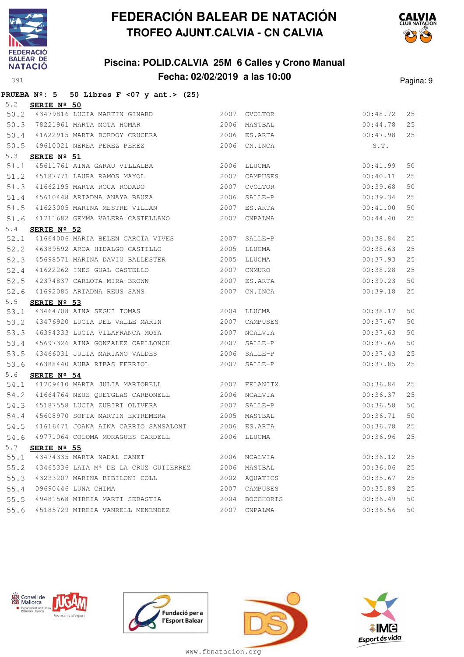

**PRUEBA Nº: 5 50 Libres F <07 y ant.> (25)**

# **FEDERACIÓN BALEAR DE NATACIÓN TROFEO AJUNT.CALVIA - CN CALVIA**

## **Piscina: POLID.CALVIA 25M 6 Calles y Crono Manual Fecha: 02/02/2019 a las 10:00** Pagina: 9



| 5.2  | SERIE Nº 50          |                                                                                   |      |               |          |    |
|------|----------------------|-----------------------------------------------------------------------------------|------|---------------|----------|----|
| 50.2 |                      | 43479816 LUCIA MARTIN GINARD                                                      |      | 2007 CVOLTOR  | 00:48.72 | 25 |
| 50.3 |                      | 78221961 MARTA MOTA HOMAR                                                         |      | 2006 MASTBAL  | 00:44.78 | 25 |
|      |                      |                                                                                   |      | 2006 ES.ARTA  | 00:47.98 | 25 |
|      |                      |                                                                                   |      | 2006 CN.INCA  | S.T.     |    |
| 5.3  | SERIE Nº 51          |                                                                                   |      |               |          |    |
| 51.1 |                      | 45611761 AINA GARAU VILLALBA 2006 LLUCMA                                          |      |               | 00:41.99 | 50 |
| 51.2 |                      | 45187771 LAURA RAMOS MAYOL<br>41662195 MARTA ROCA RODADO<br>45619449 ARIANI ----- | 2007 | CAMPUSES      | 00:40.11 | 25 |
| 51.3 |                      |                                                                                   | 2007 | CVOLTOR       | 00:39.68 | 50 |
| 51.4 |                      | 45610448 ARIADNA ANAYA BAUZA                                                      | 2006 | SALLE-P       | 00:39.34 | 25 |
| 51.5 |                      | 41623005 MARINA MESTRE VILLAN                                                     | 2007 | ES.ARTA       | 00:41.00 | 50 |
| 51.6 |                      | 41711682 GEMMA VALERA CASTELLANO 2007                                             |      | CNPALMA       | 00:44.40 | 25 |
| 5.4  | SERIE $N^{\circ}$ 52 |                                                                                   |      |               |          |    |
| 52.1 |                      | 41664006 MARIA BELEN GARCÍA VIVES 2007                                            |      | SALLE-P       | 00:38.84 | 25 |
| 52.2 |                      | 46389592 AROA HIDALGO CASTILLO                                                    | 2005 | LLUCMA        | 00:38.63 | 25 |
| 52.3 |                      | 45698571 MARINA DAVIU BALLESTER 2005                                              |      | LLUCMA        | 00:37.93 | 25 |
|      |                      | 2007<br>52.4 41622262 INES GUAL CASTELLO                                          |      | CNMURO        | 00:38.28 | 25 |
|      |                      | 52.5 42374837 CARLOTA MIRA BROWN 2007                                             |      | ES.ARTA       | 00:39.23 | 50 |
|      |                      | 52.6 41692085 ARIADNA REUS SANS 2007                                              |      | CN.INCA       | 00:39.18 | 25 |
| 5.5  | SERIE Nº 53          |                                                                                   |      |               |          |    |
| 53.1 |                      | 43464708 AINA SEGUI TOMAS 2004                                                    |      | LLUCMA        | 00:38.17 | 50 |
| 53.2 |                      | 43476920 LUCIA DEL VALLE MARIN 2007                                               |      | CAMPUSES      | 00:37.67 | 50 |
|      |                      | 53.3 46394333 LUCIA VILAFRANCA MOYA                                               | 2007 | NCALVIA       | 00:37.63 | 50 |
|      |                      | 53.4 45697326 AINA GONZALEZ CAPLLONCH 2007                                        |      | SALLE-P       | 00:37.66 | 50 |
|      |                      | 53.5 43466031 JULIA MARIANO VALDES                                                |      | 2006 SALLE-P  | 00:37.43 | 25 |
|      |                      | 53.6 46388440 AUBA RIBAS FERRIOL                                                  | 2007 | SALLE-P       | 00:37.85 | 25 |
| 5.6  | SERIE $N^{\circ}$ 54 |                                                                                   |      |               |          |    |
| 54.1 |                      | 41709410 MARTA JULIA MARTORELL 2007 FELANITX                                      |      |               | 00:36.84 | 25 |
|      |                      | 54.2 41664764 NEUS QUETGLAS CARBONELL                                             |      | 2006 NCALVIA  | 00:36.37 | 25 |
| 54.3 |                      | 45187558 LUCIA ZUBIRI OLIVERA                                                     | 2007 | SALLE-P       | 00:36.58 | 50 |
|      |                      | 54.4 45608970 SOFIA MARTIN EXTREMERA                                              |      | 2005 MASTBAL  | 00:36.71 | 50 |
| 54.5 |                      | 41616471 JOANA AINA CARRIO SANSALONI 2006 ES.ARTA                                 |      |               | 00:36.78 | 25 |
| 54.6 |                      | 49771064 COLOMA MORAGUES CARDELL 2006                                             |      | LLUCMA        | 00:36.96 | 25 |
| 5.7  | SERIE Nº 55          |                                                                                   |      |               |          |    |
| 55.1 |                      | 43474335 MARTA NADAL CANET                                                        |      | 2006 NCALVIA  | 00:36.12 | 25 |
|      |                      | 55.2 43465336 LAIA Mª DE LA CRUZ GUTIERREZ 2006 MASTBAL                           |      |               | 00:36.06 | 25 |
| 55.3 |                      | 43233207 MARINA BIBILONI COLL                                                     |      | 2002 AQUATICS | 00:35.67 | 25 |









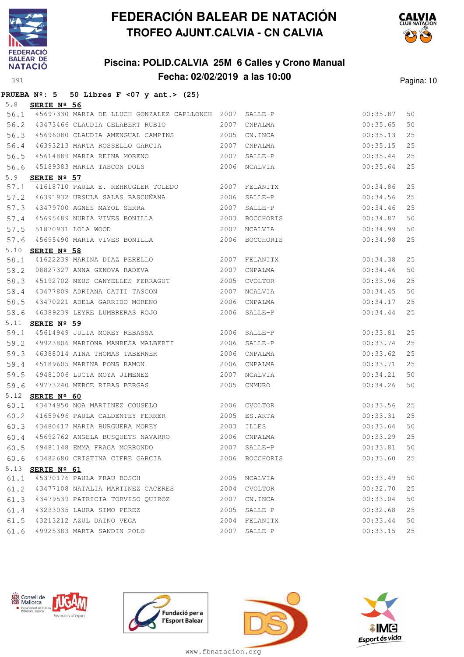

## **Piscina: POLID.CALVIA 25M 6 Calles y Crono Manual Fecha: 02/02/2019 a las 10:00** Pagina: 10



#### **PRUEBA Nº: 5 50 Libres F <07 y ant.> (25)** 5.8 **SERIE Nº 56**

| 56.1 |                         | 45697330 MARIA DE LLUCH GONZALEZ CAPLLONCH 2007 SALLE-P |      |              | 00:35.87 | 50 |
|------|-------------------------|---------------------------------------------------------|------|--------------|----------|----|
| 56.2 |                         | 43473466 CLAUDIA GELABERT RUBIO                         |      | 2007 CNPALMA | 00:35.65 | 50 |
| 56.3 |                         | 45696080 CLAUDIA AMENGUAL CAMPINS 2005 CN.INCA          |      |              | 00:35.13 | 25 |
| 56.4 |                         | 46393213 MARTA ROSSELLO GARCIA 2007 CNPALMA             |      |              | 00:35.15 | 25 |
| 56.5 |                         | 45614889 MARIA REINA MORENO 2007 SALLE-P                |      |              | 00:35.44 | 25 |
| 56.6 |                         | 45189383 MARIA TASCON DOLS 2006 NCALVIA                 |      |              | 00:35.64 | 25 |
| 5.9  | SERIE Nº 57             |                                                         |      |              |          |    |
| 57.1 |                         | 41618710 PAULA E. REHKUGLER TOLEDO 2007 FELANITX        |      |              | 00:34.86 | 25 |
|      |                         | 57.2 46391932 URSULA SALAS BASCUÑANA 2006               |      | SALLE-P      | 00:34.56 | 25 |
| 57.3 |                         | 43479700 AGNES MAYOL SERRA                              |      | 2007 SALLE-P | 00:34.46 | 25 |
| 57.4 |                         | 45695489 NURIA VIVES BONILLA 2003 BOCCHORIS             |      |              | 00:34.87 | 50 |
| 57.5 |                         | 2007 NCALVIA<br>51870931 LOLA WOOD                      |      |              | 00:34.99 | 50 |
|      |                         | 57.6 45695490 MARIA VIVES BONILLA 2006 BOCCHORIS        |      |              | 00:34.98 | 25 |
|      | 5.10 <b>SERIE Nº 58</b> |                                                         |      |              |          |    |
| 58.1 |                         | 41622239 MARINA DIAZ PERELLO 2007 FELANITX              |      |              | 00:34.38 | 25 |
| 58.2 |                         | 08827327 ANNA GENOVA RADEVA 2007 CNPALMA                |      |              | 00:34.46 | 50 |
| 58.3 |                         | 45192702 NEUS CANYELLES FERRAGUT 2005 CVOLTOR           |      |              | 00:33.96 | 25 |
| 58.4 |                         | 43477809 ADRIANA GATTI TASCON 2007 NCALVIA              |      |              | 00:34.45 | 50 |
| 58.5 |                         | 43470221 ADELA GARRIDO MORENO 2006 CNPALMA              |      |              | 00:34.17 | 25 |
| 58.6 |                         | 46389239 LEYRE LUMBRERAS ROJO<br>2006 SALLE-P           |      |              | 00:34.44 | 25 |
|      | 5.11 <b>SERIE Nº 59</b> |                                                         |      |              |          |    |
| 59.1 |                         | 45614949 JULIA MOREY REBASSA 2006                       |      | SALLE-P      | 00:33.81 | 25 |
|      |                         | 59.2 49923806 MARIONA MANRESA MALBERTI 2006 SALLE-P     |      |              | 00:33.74 | 25 |
| 59.3 |                         | 46388014 AINA THOMAS TABERNER                           |      | 2006 CNPALMA | 00:33.62 | 25 |
| 59.4 |                         | 45189605 MARINA PONS RAMON 2006                         |      | CNPALMA      | 00:33.71 | 25 |
| 59.5 |                         | 49481006 LUCIA MOYA JIMENEZ 2007                        |      | NCALVIA      | 00:34.21 | 50 |
| 59.6 |                         | 49773240 MERCE RIBAS BERGAS                             |      | 2005 CNMURO  | 00:34.26 | 50 |
|      | 5.12 <b>SERIE Nº 60</b> |                                                         |      |              |          |    |
| 60.1 |                         | 43474950 NOA MARTINEZ COUSELO 2006 CVOLTOR              |      |              | 00:33.56 | 25 |
| 60.2 |                         | 41659496 PAULA CALDENTEY FERRER 2005 ES.ARTA            |      |              | 00:33.31 | 25 |
| 60.3 |                         | 43480417 MARIA BURGUERA MOREY 2003 ILLES                |      |              | 00:33.64 | 50 |
| 60.4 |                         | 45692762 ANGELA BUSQUETS NAVARRO 2006 CNPALMA           |      |              | 00:33.29 | 25 |
| 60.5 |                         | 49481148 EMMA FRAGA MORRONDO 2007 SALLE-P               |      |              | 00:33.81 | 50 |
| 60.6 |                         | 43482680 CRISTINA CIFRE GARCIA 2006 BOCCHORIS           |      |              | 00:33.60 | 25 |
| 5.13 | SERIE Nº 61             |                                                         |      |              |          |    |
| 61.1 |                         | 45370176 PAULA FRAU BOSCH                               |      | 2005 NCALVIA | 00:33.49 | 50 |
| 61.2 |                         | 43477108 NATALIA MARTINEZ CACERES                       |      | 2004 CVOLTOR | 00:32.70 | 25 |
| 61.3 |                         | 43479539 PATRICIA TORVISO OUIROZ                        |      | 2007 CN.INCA | 00:33.04 | 50 |
| 61.4 |                         | 43233035 LAURA SIMO PEREZ                               | 2005 | SALLE-P      | 00:32.68 | 25 |
| 61.5 |                         | 43213212 AZUL DAINO VEGA                                | 2004 | FELANITX     | 00:33.44 | 50 |
| 61.6 |                         | 49925383 MARTA SANDIN POLO                              | 2007 | SALLE-P      | 00:33.15 | 25 |







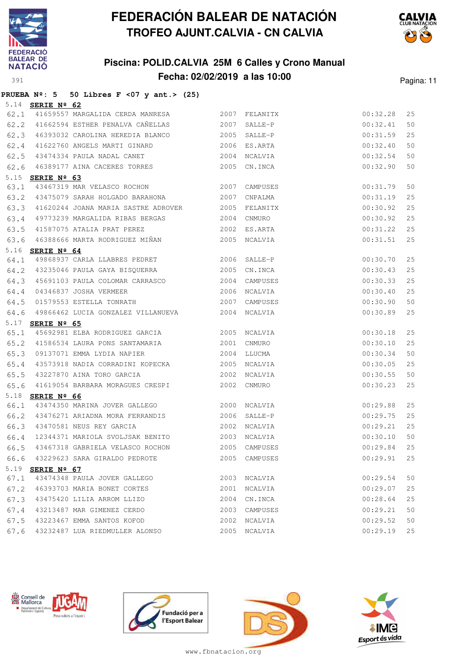

## **Piscina: POLID.CALVIA 25M 6 Calles y Crono Manual Fecha: 02/02/2019 a las 10:00** Pagina: 11



|      |                         | PRUEBA $N^{\circ}$ : 5 50 Libres F <07 y ant.> (25) |      |              |          |    |
|------|-------------------------|-----------------------------------------------------|------|--------------|----------|----|
|      | 5.14 <b>SERIE Nº 62</b> |                                                     |      |              |          |    |
|      |                         | 62.1 41659557 MARGALIDA CERDA MANRESA 2007 FELANITX |      |              | 00:32.28 | 25 |
|      |                         | 2007<br>62.2 41662594 ESTHER PENALVA CAÑELLAS       |      | SALLE-P      | 00:32.41 | 50 |
| 62.3 |                         | 46393032 CAROLINA HEREDIA BLANCO 2005               |      | SALLE-P      | 00:31.59 | 25 |
| 62.4 |                         | 41622760 ANGELS MARTI GINARD 2006 ES.ARTA           |      |              | 00:32.40 | 50 |
| 62.5 |                         | 43474334 PAULA NADAL CANET                          |      | 2004 NCALVIA | 00:32.54 | 50 |
| 62.6 |                         | 46389177 AINA CACERES TORRES 2005 CN.INCA           |      |              | 00:32.90 | 50 |
| 5.15 | SERIE Nº 63             |                                                     |      |              |          |    |
| 63.1 |                         | 43467319 MAR VELASCO ROCHON 2007                    |      | CAMPUSES     | 00:31.79 | 50 |
|      |                         | 63.2 43475079 SARAH HOLGADO BARAHONA 2007           |      | CNPALMA      | 00:31.19 | 25 |
| 63.3 |                         | 41620244 JOANA MARIA SASTRE ADROVER 2005 FELANITX   |      |              | 00:30.92 | 25 |
| 63.4 |                         | 49773239 MARGALIDA RIBAS BERGAS 2004                |      | CNMURO       | 00:30.92 | 25 |
| 63.5 |                         | 41587075 ATALIA PRAT PEREZ<br>2002                  |      | ES.ARTA      | 00:31.22 | 25 |
|      |                         | 63.6 46388666 MARTA RODRIGUEZ MIÑAN 4005 NCALVIA    |      |              | 00:31.51 | 25 |
|      | 5.16 <b>SERIE Nº 64</b> |                                                     |      |              |          |    |
| 64.1 |                         | 49868937 CARLA LLABRES PEDRET 2006 SALLE-P          |      |              | 00:30.70 | 25 |
|      |                         | 64.2 43235046 PAULA GAYA BISQUERRA 2005 CN.INCA     |      |              | 00:30.43 | 25 |
| 64.3 |                         | 45691103 PAULA COLOMAR CARRASCO 2004                |      | CAMPUSES     | 00:30.33 | 25 |
| 64.4 |                         | 04346837 JOSHA VERMEER<br>2006                      |      | NCALVIA      | 00:30.40 | 25 |
| 64.5 |                         | 01579553 ESTELLA TONRATH                            | 2007 | CAMPUSES     | 00:30.90 | 50 |
| 64.6 |                         | 49866462 LUCIA GONZALEZ VILLANUEVA 2004 NCALVIA     |      |              | 00:30.89 | 25 |
|      | 5.17 SERIE Nº 65        |                                                     |      |              |          |    |
| 65.1 |                         |                                                     |      |              | 00:30.18 | 25 |
|      |                         | 65.2 41586534 LAURA PONS SANTAMARIA 2001 CNMURO     |      |              | 00:30.10 | 25 |
| 65.3 |                         | 09137071 EMMA LYDIA NAPIER                          |      | 2004 LLUCMA  | 00:30.34 | 50 |
| 65.4 |                         | 43573918 NADIA CORRADINI KOPECKA 2005               |      | NCALVIA      | 00:30.05 | 25 |
| 65.5 |                         | 43227870 AINA TORO GARCIA 67 2002                   |      | NCALVIA      | 00:30.55 | 50 |
| 65.6 |                         | 41619054 BARBARA MORAGUES CRESPI 2002 CNMURO        |      |              | 00:30.23 | 25 |
|      | 5.18 SERIE Nº 66        |                                                     |      |              |          |    |
| 66.1 |                         | 43474350 MARINA JOVER GALLEGO 2000 NCALVIA          |      |              | 00:29.88 | 25 |
| 66.2 |                         | 43476271 ARIADNA MORA FERRANDIS 2006                |      | SALLE-P      | 00:29.75 | 25 |
|      |                         | 66.3 43470581 NEUS REY GARCIA 66.3 2002 NCALVIA     |      |              | 00:29.21 | 25 |
| 66.4 |                         | 12344371 MARIOLA SVOLJSAK BENITO                    |      | 2003 NCALVIA | 00:30.10 | 50 |
| 66.5 |                         | 43467318 GABRIELA VELASCO ROCHON                    | 2005 | CAMPUSES     | 00:29.84 | 25 |
| 66.6 |                         | 43229623 SARA GIRALDO PEDROTE                       | 2005 | CAMPUSES     | 00:29.91 | 25 |
|      | 5.19 SERIE Nº 67        |                                                     |      |              |          |    |
| 67.1 |                         | 43474348 PAULA JOVER GALLEGO                        |      | 2003 NCALVIA | 00:29.54 | 50 |
| 67.2 |                         | 46393703 MARIA BONET CORTES                         | 2001 | NCALVIA      | 00:29.07 | 25 |
| 67.3 |                         | 43475420 LILIA ARROM LLIZO                          | 2004 | CN.INCA      | 00:28.64 | 25 |
| 67.4 |                         | 43213487 MAR GIMENEZ CERDO                          | 2003 | CAMPUSES     | 00:29.21 | 50 |
| 67.5 |                         | 43223467 EMMA SANTOS KOFOD                          | 2002 | NCALVIA      | 00:29.52 | 50 |
| 67.6 |                         | 43232487 LUA RIEDMULLER ALONSO                      |      | 2005 NCALVIA | 00:29.19 | 25 |